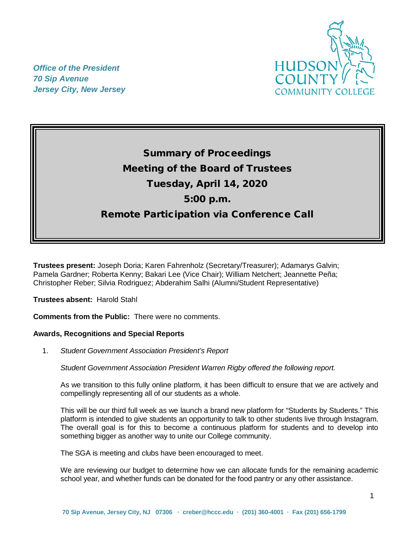

*Office of the President 70 Sip Avenue Jersey City, New Jersey*

# Summary of Proceedings Meeting of the Board of Trustees Tuesday, April 14, 2020 5:00 p.m. Remote Participation via Conference Call

**Trustees present:** Joseph Doria; Karen Fahrenholz (Secretary/Treasurer); Adamarys Galvin; Pamela Gardner; Roberta Kenny; Bakari Lee (Vice Chair); William Netchert; Jeannette Peña; Christopher Reber; Silvia Rodriguez; Abderahim Salhi (Alumni/Student Representative)

**Trustees absent:** Harold Stahl

**Comments from the Public:** There were no comments.

#### **Awards, Recognitions and Special Reports**

1. *Student Government Association President's Report* 

*Student Government Association President Warren Rigby offered the following report.*

As we transition to this fully online platform, it has been difficult to ensure that we are actively and compellingly representing all of our students as a whole.

This will be our third full week as we launch a brand new platform for "Students by Students." This platform is intended to give students an opportunity to talk to other students live through Instagram. The overall goal is for this to become a continuous platform for students and to develop into something bigger as another way to unite our College community.

The SGA is meeting and clubs have been encouraged to meet.

We are reviewing our budget to determine how we can allocate funds for the remaining academic school year, and whether funds can be donated for the food pantry or any other assistance.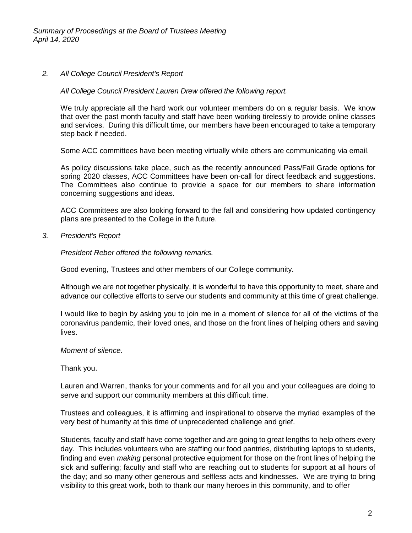### *2. All College Council President's Report*

*All College Council President Lauren Drew offered the following report.*

We truly appreciate all the hard work our volunteer members do on a regular basis. We know that over the past month faculty and staff have been working tirelessly to provide online classes and services. During this difficult time, our members have been encouraged to take a temporary step back if needed.

Some ACC committees have been meeting virtually while others are communicating via email.

As policy discussions take place, such as the recently announced Pass/Fail Grade options for spring 2020 classes, ACC Committees have been on-call for direct feedback and suggestions. The Committees also continue to provide a space for our members to share information concerning suggestions and ideas.

ACC Committees are also looking forward to the fall and considering how updated contingency plans are presented to the College in the future.

*3. President's Report*

*President Reber offered the following remarks.*

Good evening, Trustees and other members of our College community.

Although we are not together physically, it is wonderful to have this opportunity to meet, share and advance our collective efforts to serve our students and community at this time of great challenge.

I would like to begin by asking you to join me in a moment of silence for all of the victims of the coronavirus pandemic, their loved ones, and those on the front lines of helping others and saving lives.

#### *Moment of silence.*

Thank you.

Lauren and Warren, thanks for your comments and for all you and your colleagues are doing to serve and support our community members at this difficult time.

Trustees and colleagues, it is affirming and inspirational to observe the myriad examples of the very best of humanity at this time of unprecedented challenge and grief.

Students, faculty and staff have come together and are going to great lengths to help others every day. This includes volunteers who are staffing our food pantries, distributing laptops to students, finding and even *making* personal protective equipment for those on the front lines of helping the sick and suffering; faculty and staff who are reaching out to students for support at all hours of the day; and so many other generous and selfless acts and kindnesses. We are trying to bring visibility to this great work, both to thank our many heroes in this community, and to offer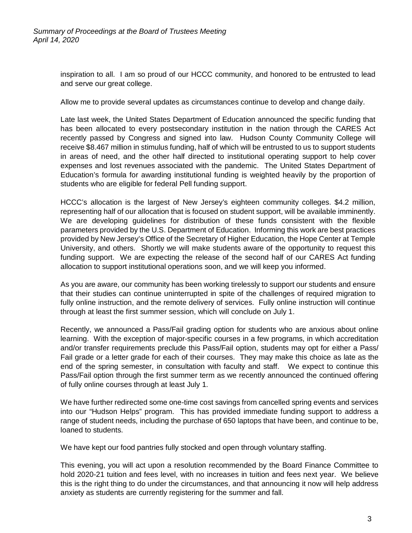inspiration to all. I am so proud of our HCCC community, and honored to be entrusted to lead and serve our great college.

Allow me to provide several updates as circumstances continue to develop and change daily.

Late last week, the United States Department of Education announced the specific funding that has been allocated to every postsecondary institution in the nation through the CARES Act recently passed by Congress and signed into law. Hudson County Community College will receive \$8.467 million in stimulus funding, half of which will be entrusted to us to support students in areas of need, and the other half directed to institutional operating support to help cover expenses and lost revenues associated with the pandemic. The United States Department of Education's formula for awarding institutional funding is weighted heavily by the proportion of students who are eligible for federal Pell funding support.

HCCC's allocation is the largest of New Jersey's eighteen community colleges. \$4.2 million, representing half of our allocation that is focused on student support, will be available imminently. We are developing guidelines for distribution of these funds consistent with the flexible parameters provided by the U.S. Department of Education. Informing this work are best practices provided by New Jersey's Office of the Secretary of Higher Education, the Hope Center at Temple University, and others. Shortly we will make students aware of the opportunity to request this funding support. We are expecting the release of the second half of our CARES Act funding allocation to support institutional operations soon, and we will keep you informed.

As you are aware, our community has been working tirelessly to support our students and ensure that their studies can continue uninterrupted in spite of the challenges of required migration to fully online instruction, and the remote delivery of services. Fully online instruction will continue through at least the first summer session, which will conclude on July 1.

Recently, we announced a Pass/Fail grading option for students who are anxious about online learning. With the exception of major-specific courses in a few programs, in which accreditation and/or transfer requirements preclude this Pass/Fail option, students may opt for either a Pass/ Fail grade or a letter grade for each of their courses. They may make this choice as late as the end of the spring semester, in consultation with faculty and staff. We expect to continue this Pass/Fail option through the first summer term as we recently announced the continued offering of fully online courses through at least July 1.

We have further redirected some one-time cost savings from cancelled spring events and services into our "Hudson Helps" program. This has provided immediate funding support to address a range of student needs, including the purchase of 650 laptops that have been, and continue to be, loaned to students.

We have kept our food pantries fully stocked and open through voluntary staffing.

This evening, you will act upon a resolution recommended by the Board Finance Committee to hold 2020-21 tuition and fees level, with no increases in tuition and fees next year. We believe this is the right thing to do under the circumstances, and that announcing it now will help address anxiety as students are currently registering for the summer and fall.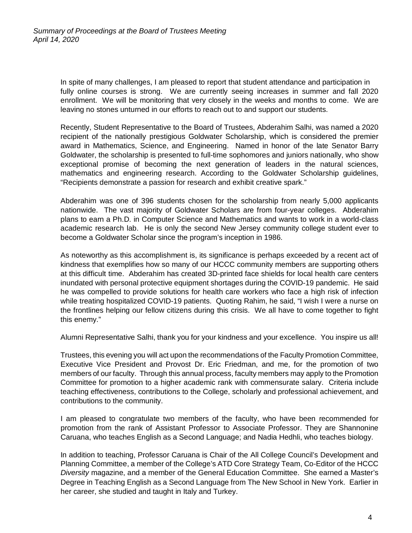In spite of many challenges, I am pleased to report that student attendance and participation in fully online courses is strong. We are currently seeing increases in summer and fall 2020 enrollment. We will be monitoring that very closely in the weeks and months to come. We are leaving no stones unturned in our efforts to reach out to and support our students.

Recently, Student Representative to the Board of Trustees, Abderahim Salhi, was named a 2020 recipient of the nationally prestigious Goldwater Scholarship, which is considered the premier award in Mathematics, Science, and Engineering. Named in honor of the late Senator Barry Goldwater, the scholarship is presented to full-time sophomores and juniors nationally, who show exceptional promise of becoming the next generation of leaders in the natural sciences, mathematics and engineering research. According to the Goldwater Scholarship guidelines, "Recipients demonstrate a passion for research and exhibit creative spark."

Abderahim was one of 396 students chosen for the scholarship from nearly 5,000 applicants nationwide. The vast majority of Goldwater Scholars are from four-year colleges. Abderahim plans to earn a Ph.D. in Computer Science and Mathematics and wants to work in a world-class academic research lab. He is only the second New Jersey community college student ever to become a Goldwater Scholar since the program's inception in 1986.

As noteworthy as this accomplishment is, its significance is perhaps exceeded by a recent act of kindness that exemplifies how so many of our HCCC community members are supporting others at this difficult time. Abderahim has created 3D-printed face shields for local health care centers inundated with personal protective equipment shortages during the COVID-19 pandemic. He said he was compelled to provide solutions for health care workers who face a high risk of infection while treating hospitalized COVID-19 patients. Quoting Rahim, he said, "I wish I were a nurse on the frontlines helping our fellow citizens during this crisis. We all have to come together to fight this enemy."

Alumni Representative Salhi, thank you for your kindness and your excellence. You inspire us all!

Trustees, this evening you will act upon the recommendations of the Faculty Promotion Committee, Executive Vice President and Provost Dr. Eric Friedman, and me, for the promotion of two members of our faculty. Through this annual process, faculty members may apply to the Promotion Committee for promotion to a higher academic rank with commensurate salary. Criteria include teaching effectiveness, contributions to the College, scholarly and professional achievement, and contributions to the community.

I am pleased to congratulate two members of the faculty, who have been recommended for promotion from the rank of Assistant Professor to Associate Professor. They are Shannonine Caruana, who teaches English as a Second Language; and Nadia Hedhli, who teaches biology.

In addition to teaching, Professor Caruana is Chair of the All College Council's Development and Planning Committee, a member of the College's ATD Core Strategy Team, Co-Editor of the HCCC *Diversity* magazine, and a member of the General Education Committee. She earned a Master's Degree in Teaching English as a Second Language from The New School in New York. Earlier in her career, she studied and taught in Italy and Turkey.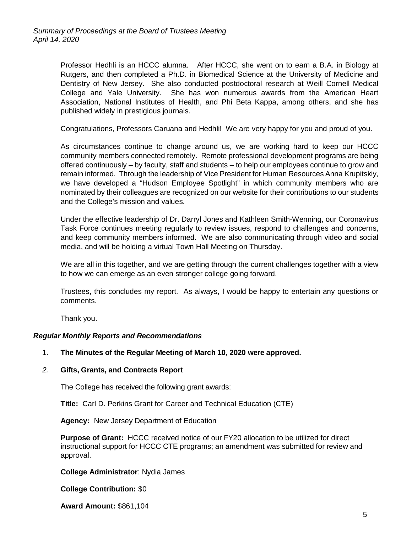Professor Hedhli is an HCCC alumna. After HCCC, she went on to earn a B.A. in Biology at Rutgers, and then completed a Ph.D. in Biomedical Science at the University of Medicine and Dentistry of New Jersey. She also conducted postdoctoral research at Weill Cornell Medical College and Yale University. She has won numerous awards from the American Heart Association, National Institutes of Health, and Phi Beta Kappa, among others, and she has published widely in prestigious journals.

Congratulations, Professors Caruana and Hedhli! We are very happy for you and proud of you.

As circumstances continue to change around us, we are working hard to keep our HCCC community members connected remotely. Remote professional development programs are being offered continuously – by faculty, staff and students – to help our employees continue to grow and remain informed. Through the leadership of Vice President for Human Resources Anna Krupitskiy, we have developed a "Hudson Employee Spotlight" in which community members who are nominated by their colleagues are recognized on our website for their contributions to our students and the College's mission and values.

Under the effective leadership of Dr. Darryl Jones and Kathleen Smith-Wenning, our Coronavirus Task Force continues meeting regularly to review issues, respond to challenges and concerns, and keep community members informed. We are also communicating through video and social media, and will be holding a virtual Town Hall Meeting on Thursday.

We are all in this together, and we are getting through the current challenges together with a view to how we can emerge as an even stronger college going forward.

Trustees, this concludes my report. As always, I would be happy to entertain any questions or comments.

Thank you.

#### *Regular Monthly Reports and Recommendations*

#### 1. **The Minutes of the Regular Meeting of March 10, 2020 were approved.**

#### *2.* **Gifts, Grants, and Contracts Report**

The College has received the following grant awards:

**Title:** Carl D. Perkins Grant for Career and Technical Education (CTE)

**Agency:** New Jersey Department of Education

**Purpose of Grant:** HCCC received notice of our FY20 allocation to be utilized for direct instructional support for HCCC CTE programs; an amendment was submitted for review and approval.

#### **College Administrator**: Nydia James

#### **College Contribution:** \$0

**Award Amount:** \$861,104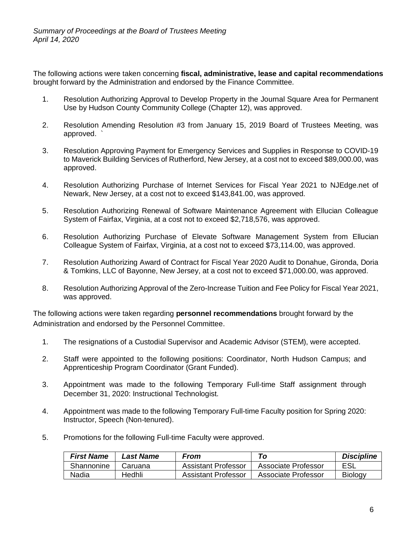The following actions were taken concerning **fiscal, administrative, lease and capital recommendations** brought forward by the Administration and endorsed by the Finance Committee.

- 1. Resolution Authorizing Approval to Develop Property in the Journal Square Area for Permanent Use by Hudson County Community College (Chapter 12), was approved.
- 2. Resolution Amending Resolution #3 from January 15, 2019 Board of Trustees Meeting, was approved. `
- 3. Resolution Approving Payment for Emergency Services and Supplies in Response to COVID-19 to Maverick Building Services of Rutherford, New Jersey, at a cost not to exceed \$89,000.00, was approved.
- 4. Resolution Authorizing Purchase of Internet Services for Fiscal Year 2021 to NJEdge.net of Newark, New Jersey, at a cost not to exceed \$143,841.00, was approved.
- 5. Resolution Authorizing Renewal of Software Maintenance Agreement with Ellucian Colleague System of Fairfax, Virginia, at a cost not to exceed \$2,718,576, was approved.
- 6. Resolution Authorizing Purchase of Elevate Software Management System from Ellucian Colleague System of Fairfax, Virginia, at a cost not to exceed \$73,114.00, was approved.
- 7. Resolution Authorizing Award of Contract for Fiscal Year 2020 Audit to Donahue, Gironda, Doria & Tomkins, LLC of Bayonne, New Jersey, at a cost not to exceed \$71,000.00, was approved.
- 8. Resolution Authorizing Approval of the Zero-Increase Tuition and Fee Policy for Fiscal Year 2021, was approved.

The following actions were taken regarding **personnel recommendations** brought forward by the Administration and endorsed by the Personnel Committee.

- 1. The resignations of a Custodial Supervisor and Academic Advisor (STEM), were accepted.
- 2. Staff were appointed to the following positions: Coordinator, North Hudson Campus; and Apprenticeship Program Coordinator (Grant Funded).
- 3. Appointment was made to the following Temporary Full-time Staff assignment through December 31, 2020: Instructional Technologist.
- 4. Appointment was made to the following Temporary Full-time Faculty position for Spring 2020: Instructor, Speech (Non-tenured).
- 5. Promotions for the following Full-time Faculty were approved.

| <b>First Name</b> | <b>Last Name</b> | From                |                     | <b>Discipline</b> |
|-------------------|------------------|---------------------|---------------------|-------------------|
| Shannonine        | Caruana          | Assistant Professor | Associate Professor | ESL               |
| Nadia             | Hedhli           | Assistant Professor | Associate Professor | <b>Biology</b>    |